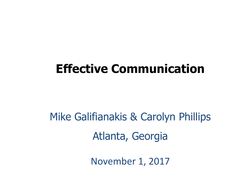## **Effective Communication**

# Mike Galifianakis & Carolyn Phillips Atlanta, Georgia

November 1, 2017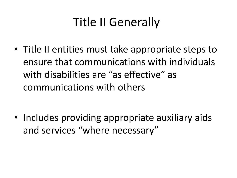# Title II Generally

 ensure that communications with individuals • Title II entities must take appropriate steps to with disabilities are "as effective" as communications with others

• Includes providing appropriate auxiliary aids and services "where necessary"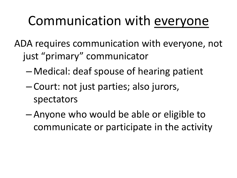# Communication with everyone

ADA requires communication with everyone, not just "primary" communicator

- Medical: deaf spouse of hearing patient
- Court: not just parties; also jurors, spectators
- Anyone who would be able or eligible to communicate or participate in the activity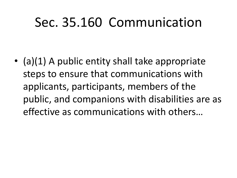# Sec. 35.160 Communication

 public, and companions with disabilities are as • (a)(1) A public entity shall take appropriate steps to ensure that communications with applicants, participants, members of the effective as communications with others...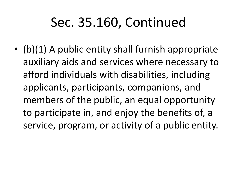# Sec. 35.160, Continued

 afford individuals with disabilities, including • (b)(1) A public entity shall furnish appropriate auxiliary aids and services where necessary to applicants, participants, companions, and members of the public, an equal opportunity to participate in, and enjoy the benefits of, a service, program, or activity of a public entity.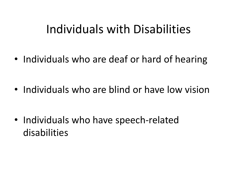## Individuals with Disabilities

• Individuals who are deaf or hard of hearing

• Individuals who are blind or have low vision

• Individuals who have speech-related disabilities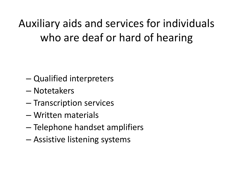Auxiliary aids and services for individuals who are deaf or hard of hearing

- Qualified interpreters
- Notetakers
- Transcription services
- Written materials
- Telephone handset amplifiers
- Assistive listening systems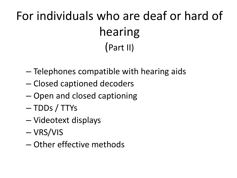# For individuals who are deaf or hard of hearing (Part II)

- Telephones compatible with hearing aids
- Closed captioned decoders
- Open and closed captioning
- TDDs / TTYs
- Videotext displays
- VRS/VIS
- Other effective methods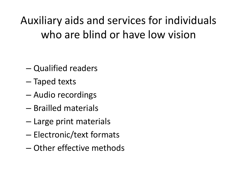Auxiliary aids and services for individuals who are blind or have low vision

- Qualified readers
- Taped texts
- Audio recordings
- Brailled materials
- Large print materials
- Electronic/text formats
- Other effective methods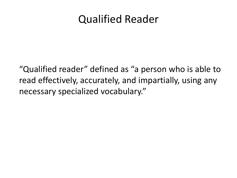#### Qualified Reader

͞Qualified reader͟ defined as ͞a person who is able to read effectively, accurately, and impartially, using any necessary specialized vocabulary."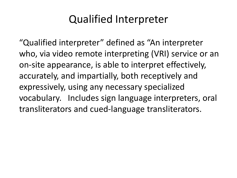### Qualified Interpreter

"Qualified interpreter" defined as "An interpreter" who, via video remote interpreting (VRI) service or an on-site appearance, is able to interpret effectively, accurately, and impartially, both receptively and expressively, using any necessary specialized vocabulary. Includes sign language interpreters, oral transliterators and cued-language transliterators.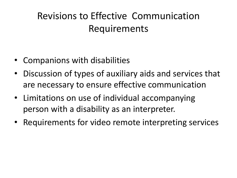### Revisions to Effective Communication Requirements

- Companions with disabilities
- Discussion of types of auxiliary aids and services that are necessary to ensure effective communication
- Limitations on use of individual accompanying person with a disability as an interpreter.
- Requirements for video remote interpreting services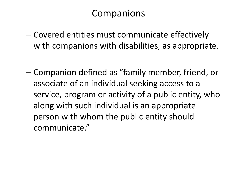## Companions

- Covered entities must communicate effectively with companions with disabilities, as appropriate.
- person with whom the public entity should – Companion defined as ͞family member, friend, or associate of an individual seeking access to a service, program or activity of a public entity, who along with such individual is an appropriate communicate."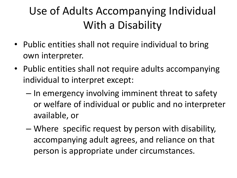## Use of Adults Accompanying Individual With a Disability

- • Public entities shall not require individual to bring own interpreter.
- • Public entities shall not require adults accompanying individual to interpret except:
	- In emergency involving imminent threat to safety or welfare of individual or public and no interpreter available, or
	- Where specific request by person with disability, accompanying adult agrees, and reliance on that person is appropriate under circumstances.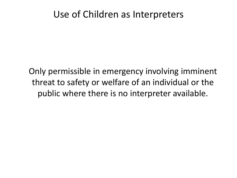#### Use of Children as Interpreters

Only permissible in emergency involving imminent threat to safety or welfare of an individual or the public where there is no interpreter available.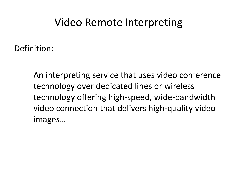#### Video Remote Interpreting

Definition:

An interpreting service that uses video conference technology over dedicated lines or wireless technology offering high-speed, wide-bandwidth video connection that delivers high-quality video images...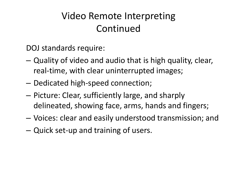### Video Remote Interpreting Continued

DOJ standards require:

- real-time, with clear uninterrupted images; – Quality of video and audio that is high quality, clear,
- Dedicated high-speed connection;
- Picture: Clear, sufficiently large, and sharply delineated, showing face, arms, hands and fingers;
- Voices: clear and easily understood transmission; and
- Quick set-up and training of users.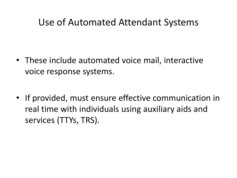#### Use of Automated Attendant Systems

- voice response systems. • These include automated voice mail, interactive
- • If provided, must ensure effective communication in real time with individuals using auxiliary aids and services (TTYs, TRS).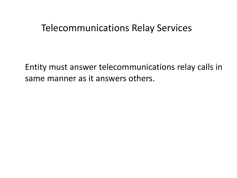#### Telecommunications Relay Services

Entity must answer telecommunications relay calls in same manner as it answers others.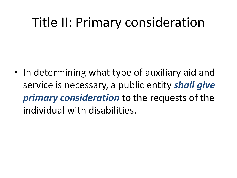# Title II: Primary consideration

 individual with disabilities. • In determining what type of auxiliary aid and service is necessary, a public entity *shall give primary consideration* to the requests of the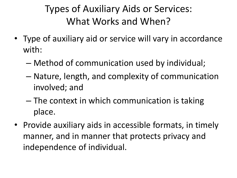### Types of Auxiliary Aids or Services: What Works and When?

- Type of auxiliary aid or service will vary in accordance with:
	- Method of communication used by individual;
	- Nature, length, and complexity of communication involved; and
	- The context in which communication is taking place.
- manner, and in manner that protects privacy and • Provide auxiliary aids in accessible formats, in timely independence of individual.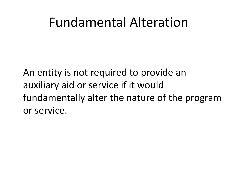## Fundamental Alteration

An entity is not required to provide an auxiliary aid or service if it would fundamentally alter the nature of the program or service.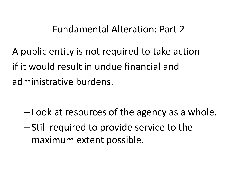#### Fundamental Alteration: Part 2

A public entity is not required to take action if it would result in undue financial and administrative burdens.

- Look at resources of the agency as a whole.
- Still required to provide service to the maximum extent possible.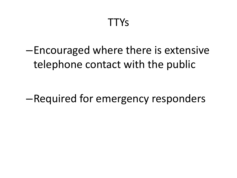–Encouraged where there is extensive telephone contact with the public

–Required for emergency responders